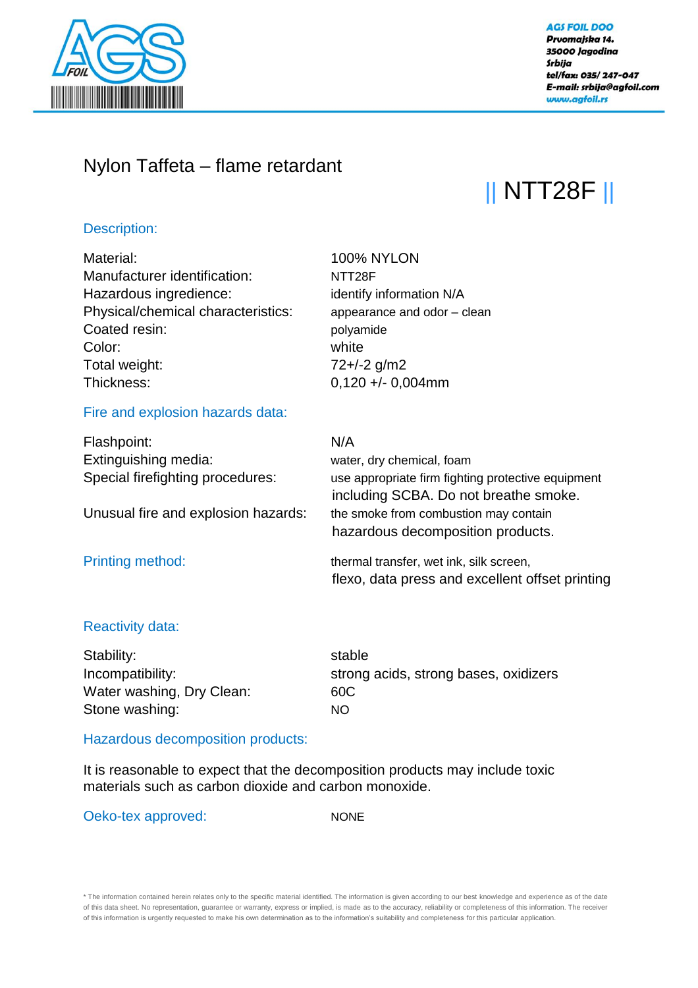

#### **AGS FOIL DOO** Prvomajska 14. 35000 Jagodina Srbija tel/fax: 035/247-047 E-mail: srbija@agfoil.com www.agfoil.rs

## Nylon Taffeta – flame retardant

# || NTT28F ||

#### Description:

| Material:                           | <b>100% NYLON</b>                                                                           |
|-------------------------------------|---------------------------------------------------------------------------------------------|
| Manufacturer identification:        | NTT <sub>28F</sub>                                                                          |
| Hazardous ingredience:              | identify information N/A                                                                    |
| Physical/chemical characteristics:  | appearance and odor - clean                                                                 |
| Coated resin:                       | polyamide                                                                                   |
| Color:                              | white                                                                                       |
| Total weight:                       | $72 + (-2)$ g/m2                                                                            |
| Thickness:                          | $0,120 + 0,004$ mm                                                                          |
| Fire and explosion hazards data:    |                                                                                             |
| Flashpoint:                         | N/A                                                                                         |
| Extinguishing media:                | water, dry chemical, foam                                                                   |
| Special firefighting procedures:    | use appropriate firm fighting protective equipment<br>including SCBA. Do not breathe smoke. |
| Unusual fire and explosion hazards: | the smoke from combustion may contain                                                       |
|                                     | hazardous decomposition products.                                                           |
| <b>Printing method:</b>             | thermal transfer, wet ink, silk screen,                                                     |
|                                     | flexo, data press and excellent offset printing                                             |
|                                     |                                                                                             |
| Reactivity data:                    |                                                                                             |

#### eactivity data

Stability: stable Water washing, Dry Clean: 60C Stone washing: NO

Incompatibility: strong acids, strong bases, oxidizers

### Hazardous decomposition products:

It is reasonable to expect that the decomposition products may include toxic materials such as carbon dioxide and carbon monoxide.

Oeko-tex approved: NONE

\* The information contained herein relates only to the specific material identified. The information is given according to our best knowledge and experience as of the date of this data sheet. No representation, guarantee or warranty, express or implied, is made as to the accuracy, reliability or completeness of this information. The receiver of this information is urgently requested to make his own determination as to the information's suitability and completeness for this particular application.